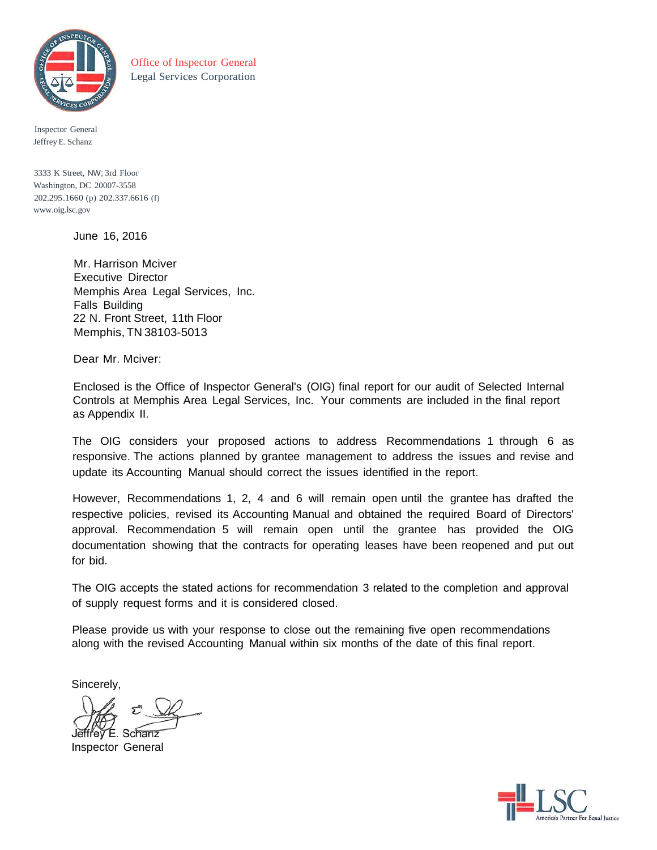

Office of Inspector General Legal Services Corporation

Inspector General JeffreyE. Schanz

3333 K Street, NW; 3rd Floor Washington, DC 20007-3558 202.295.1660 (p) 202.337.6616 (f) [www.oig.lsc.gov](http://www.oig.lsc.gov/)

June 16, 2016

Mr. Harrison Mciver Executive Director Memphis Area Legal Services, Inc. Falls Building 22 N. Front Street, 11th Floor Memphis, TN 38103-5013

Dear Mr. Mciver:

Enclosed is the Office of Inspector General's (OIG) final report for our audit of Selected Internal Controls at Memphis Area Legal Services, Inc. Your comments are included in the final report as Appendix II.

The OIG considers your proposed actions to address Recommendations 1 through 6 as responsive. The actions planned by grantee management to address the issues and revise and update its Accounting Manual should correct the issues identified in the report.

However, Recommendations 1, 2, 4 and 6 will remain open until the grantee has drafted the respective policies, revised its Accounting Manual and obtained the required Board of Directors' approval. Recommendation 5 will remain open until the grantee has provided the OIG documentation showing that the contracts for operating leases have been reopened and put out for bid.

The OIG accepts the stated actions for recommendation 3 related to the completion and approval of supply request forms and it is considered closed.

Please provide us with your response to close out the remaining five open recommendations along with the revised Accounting Manual within six months of the date of this final report.

Sincerely,

Inspector General

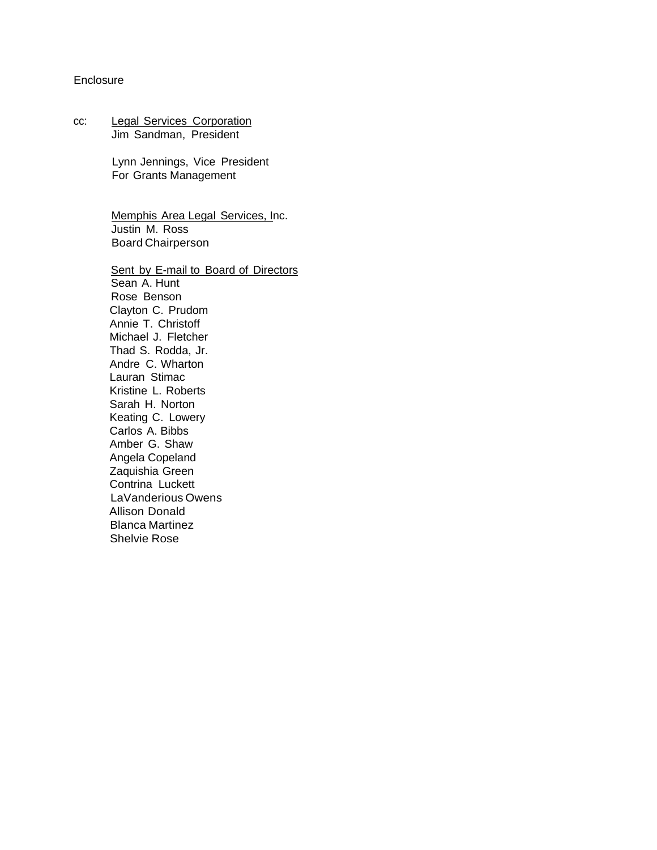#### **Enclosure**

cc: Legal Services Corporation Jim Sandman, President

> Lynn Jennings, Vice President For Grants Management

Memphis Area Legal Services, Inc. Justin M. Ross Board Chairperson

Sent by E-mail to Board of Directors Sean A. Hunt Rose Benson Clayton C. Prudom Annie T. Christoff Michael J. Fletcher Thad S. Rodda, Jr. Andre C. Wharton Lauran Stimac Kristine L. Roberts Sarah H. Norton Keating C. Lowery Carlos A. Bibbs Amber G. Shaw Angela Copeland Zaquishia Green Contrina Luckett LaVanderious Owens Allison Donald Blanca Martinez Shelvie Rose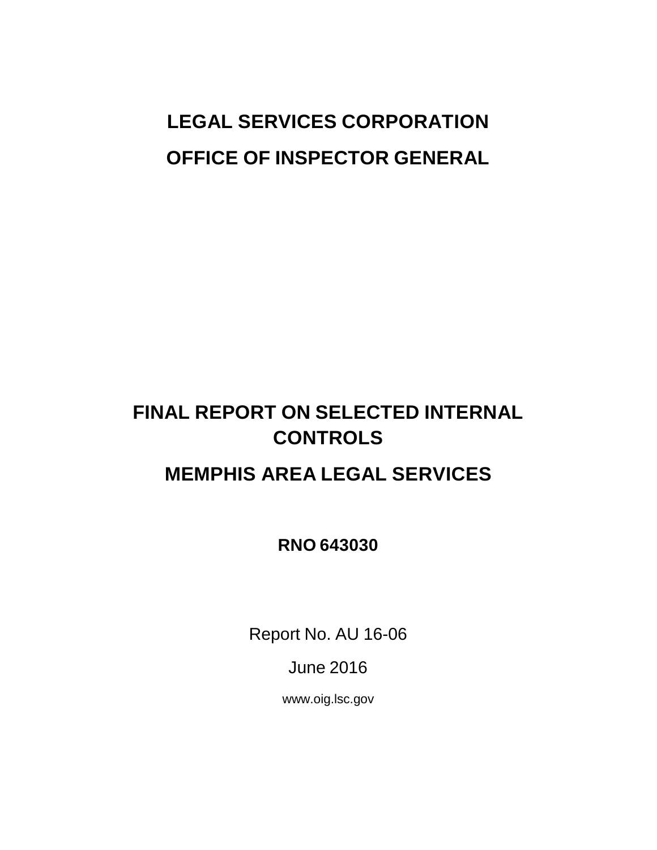# **LEGAL SERVICES CORPORATION OFFICE OF INSPECTOR GENERAL**

## **FINAL REPORT ON SELECTED INTERNAL CONTROLS**

### **MEMPHIS AREA LEGAL SERVICES**

**RNO 643030**

Report No. AU 16-06

June 2016

[www.oig.lsc.gov](http://www.oig.lsc.gov/)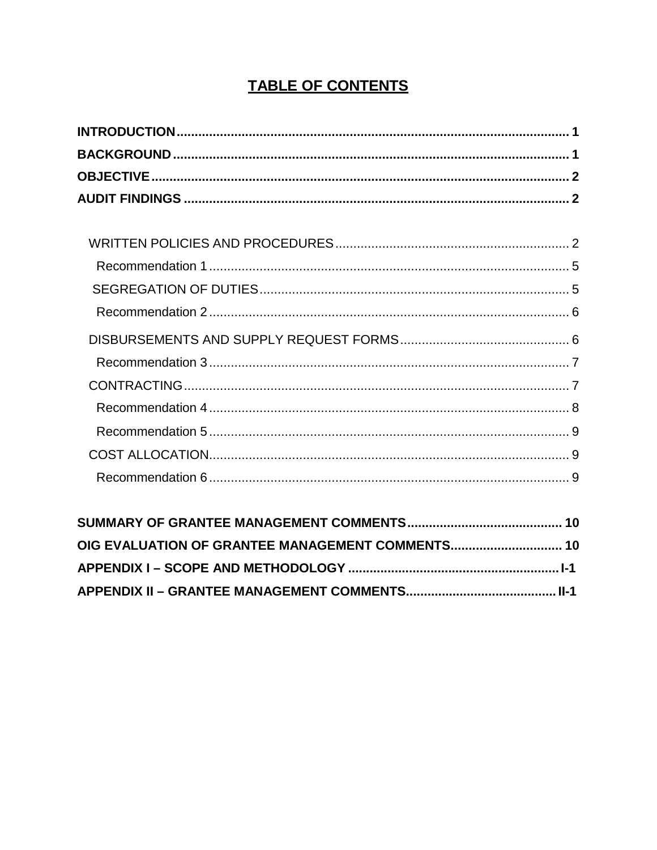### **TABLE OF CONTENTS**

| OIG EVALUATION OF GRANTEE MANAGEMENT COMMENTS 10 |  |
|--------------------------------------------------|--|
|                                                  |  |
|                                                  |  |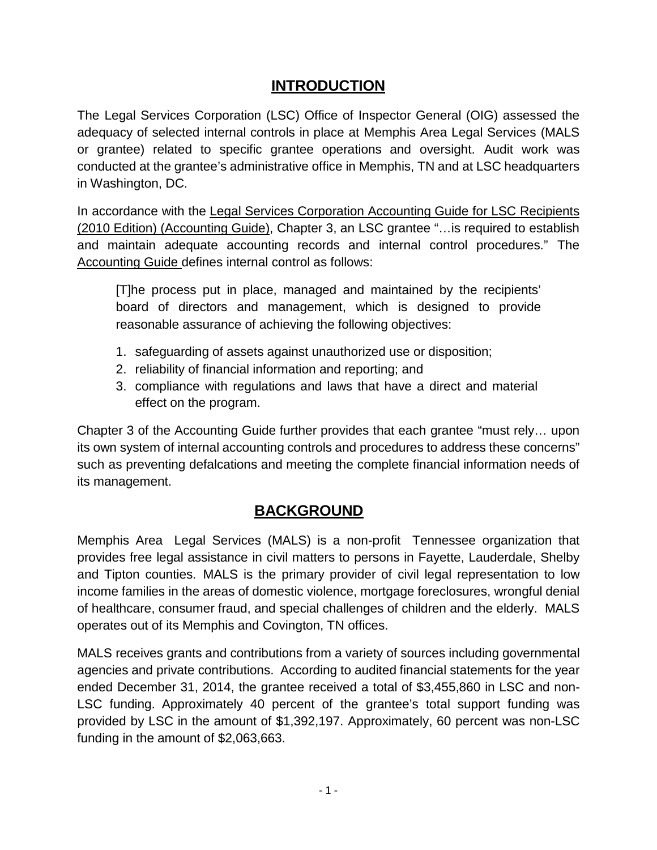### **INTRODUCTION**

<span id="page-4-0"></span>The Legal Services Corporation (LSC) Office of Inspector General (OIG) assessed the adequacy of selected internal controls in place at Memphis Area Legal Services (MALS or grantee) related to specific grantee operations and oversight. Audit work was conducted at the grantee's administrative office in Memphis, TN and at LSC headquarters in Washington, DC.

In accordance with the Legal Services Corporation Accounting Guide for LSC Recipients (2010 Edition) (Accounting Guide), Chapter 3, an LSC grantee "…is required to establish and maintain adequate accounting records and internal control procedures." The Accounting Guide defines internal control as follows:

[T]he process put in place, managed and maintained by the recipients' board of directors and management, which is designed to provide reasonable assurance of achieving the following objectives:

- 1. safeguarding of assets against unauthorized use or disposition;
- 2. reliability of financial information and reporting; and
- 3. compliance with regulations and laws that have a direct and material effect on the program.

Chapter 3 of the Accounting Guide further provides that each grantee "must rely… upon its own system of internal accounting controls and procedures to address these concerns" such as preventing defalcations and meeting the complete financial information needs of its management.

### **BACKGROUND**

<span id="page-4-1"></span>Memphis Area Legal Services (MALS) is a non-profit Tennessee organization that provides free legal assistance in civil matters to persons in Fayette, Lauderdale, Shelby and Tipton counties. MALS is the primary provider of civil legal representation to low income families in the areas of domestic violence, mortgage foreclosures, wrongful denial of healthcare, consumer fraud, and special challenges of children and the elderly. MALS operates out of its Memphis and Covington, TN offices.

MALS receives grants and contributions from a variety of sources including governmental agencies and private contributions. According to audited financial statements for the year ended December 31, 2014, the grantee received a total of \$3,455,860 in LSC and non-LSC funding. Approximately 40 percent of the grantee's total support funding was provided by LSC in the amount of \$1,392,197. Approximately, 60 percent was non-LSC funding in the amount of \$2,063,663.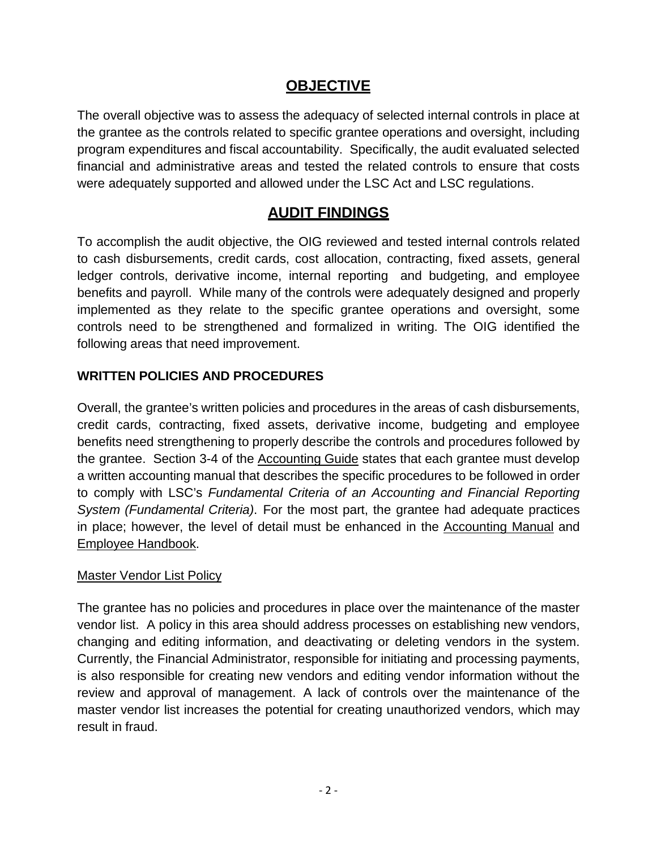#### **OBJECTIVE**

<span id="page-5-0"></span>The overall objective was to assess the adequacy of selected internal controls in place at the grantee as the controls related to specific grantee operations and oversight, including program expenditures and fiscal accountability. Specifically, the audit evaluated selected financial and administrative areas and tested the related controls to ensure that costs were adequately supported and allowed under the LSC Act and LSC regulations.

### **AUDIT FINDINGS**

<span id="page-5-1"></span>To accomplish the audit objective, the OIG reviewed and tested internal controls related to cash disbursements, credit cards, cost allocation, contracting, fixed assets, general ledger controls, derivative income, internal reporting and budgeting, and employee benefits and payroll. While many of the controls were adequately designed and properly implemented as they relate to the specific grantee operations and oversight, some controls need to be strengthened and formalized in writing. The OIG identified the following areas that need improvement.

#### <span id="page-5-2"></span>**WRITTEN POLICIES AND PROCEDURES**

Overall, the grantee's written policies and procedures in the areas of cash disbursements, credit cards, contracting, fixed assets, derivative income, budgeting and employee benefits need strengthening to properly describe the controls and procedures followed by the grantee. Section 3-4 of the Accounting Guide states that each grantee must develop a written accounting manual that describes the specific procedures to be followed in order to comply with LSC's *Fundamental Criteria of an Accounting and Financial Reporting System (Fundamental Criteria)*. For the most part, the grantee had adequate practices in place; however, the level of detail must be enhanced in the Accounting Manual and Employee Handbook.

#### Master Vendor List Policy

The grantee has no policies and procedures in place over the maintenance of the master vendor list. A policy in this area should address processes on establishing new vendors, changing and editing information, and deactivating or deleting vendors in the system. Currently, the Financial Administrator, responsible for initiating and processing payments, is also responsible for creating new vendors and editing vendor information without the review and approval of management. A lack of controls over the maintenance of the master vendor list increases the potential for creating unauthorized vendors, which may result in fraud.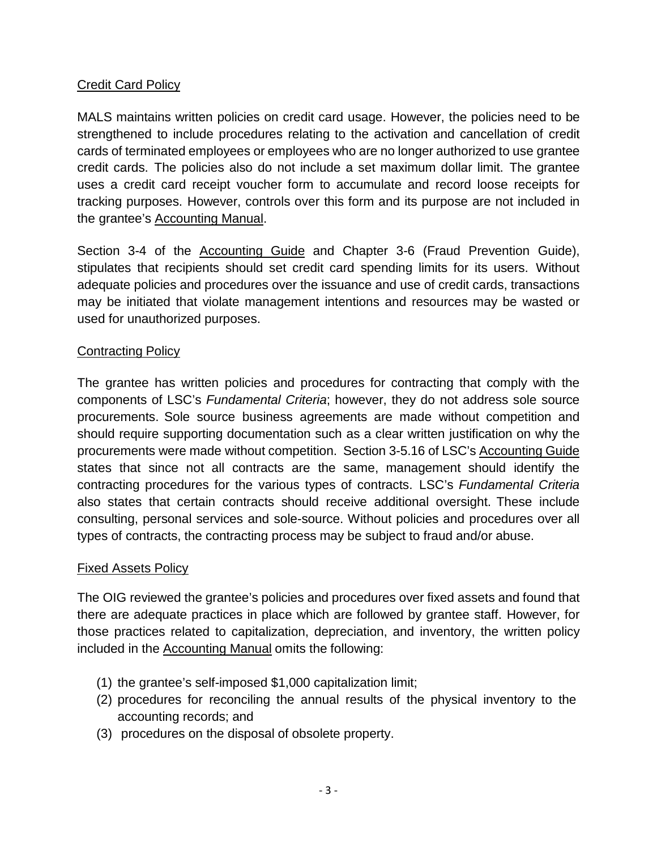#### Credit Card Policy

MALS maintains written policies on credit card usage. However, the policies need to be strengthened to include procedures relating to the activation and cancellation of credit cards of terminated employees or employees who are no longer authorized to use grantee credit cards. The policies also do not include a set maximum dollar limit. The grantee uses a credit card receipt voucher form to accumulate and record loose receipts for tracking purposes. However, controls over this form and its purpose are not included in the grantee's Accounting Manual.

Section 3-4 of the Accounting Guide and Chapter 3-6 (Fraud Prevention Guide), stipulates that recipients should set credit card spending limits for its users. Without adequate policies and procedures over the issuance and use of credit cards, transactions may be initiated that violate management intentions and resources may be wasted or used for unauthorized purposes.

#### Contracting Policy

The grantee has written policies and procedures for contracting that comply with the components of LSC's *Fundamental Criteria*; however, they do not address sole source procurements. Sole source business agreements are made without competition and should require supporting documentation such as a clear written justification on why the procurements were made without competition. Section 3-5.16 of LSC's Accounting Guide states that since not all contracts are the same, management should identify the contracting procedures for the various types of contracts. LSC's *Fundamental Criteria* also states that certain contracts should receive additional oversight. These include consulting, personal services and sole-source. Without policies and procedures over all types of contracts, the contracting process may be subject to fraud and/or abuse.

#### Fixed Assets Policy

The OIG reviewed the grantee's policies and procedures over fixed assets and found that there are adequate practices in place which are followed by grantee staff. However, for those practices related to capitalization, depreciation, and inventory, the written policy included in the Accounting Manual omits the following:

- (1) the grantee's self-imposed \$1,000 capitalization limit;
- (2) procedures for reconciling the annual results of the physical inventory to the accounting records; and
- (3) procedures on the disposal of obsolete property.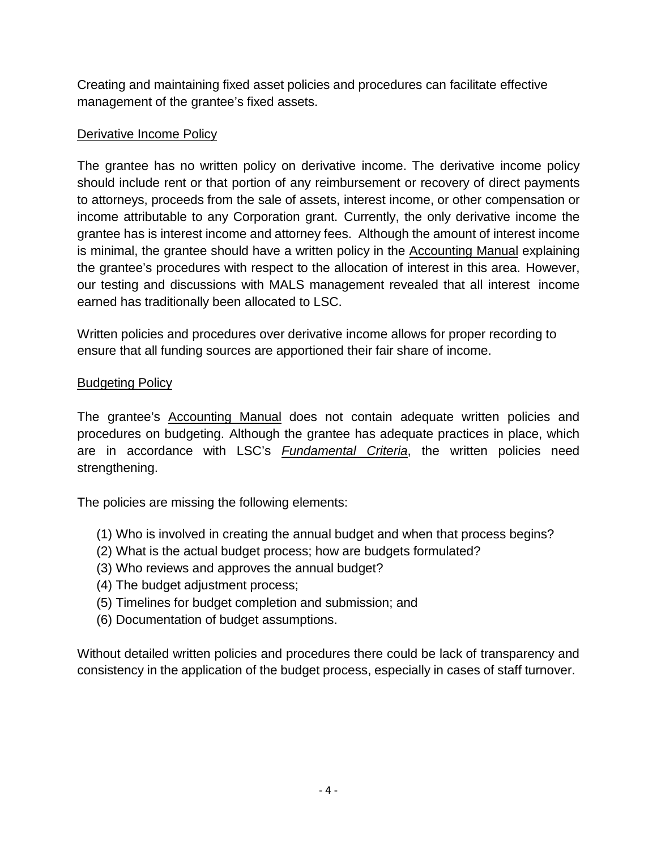Creating and maintaining fixed asset policies and procedures can facilitate effective management of the grantee's fixed assets.

#### Derivative Income Policy

The grantee has no written policy on derivative income. The derivative income policy should include rent or that portion of any reimbursement or recovery of direct payments to attorneys, proceeds from the sale of assets, interest income, or other compensation or income attributable to any Corporation grant. Currently, the only derivative income the grantee has is interest income and attorney fees. Although the amount of interest income is minimal, the grantee should have a written policy in the Accounting Manual explaining the grantee's procedures with respect to the allocation of interest in this area. However, our testing and discussions with MALS management revealed that all interest income earned has traditionally been allocated to LSC.

Written policies and procedures over derivative income allows for proper recording to ensure that all funding sources are apportioned their fair share of income.

#### Budgeting Policy

The grantee's Accounting Manual does not contain adequate written policies and procedures on budgeting. Although the grantee has adequate practices in place, which are in accordance with LSC's *Fundamental Criteria*, the written policies need strengthening.

The policies are missing the following elements:

- (1) Who is involved in creating the annual budget and when that process begins?
- (2) What is the actual budget process; how are budgets formulated?
- (3) Who reviews and approves the annual budget?
- (4) The budget adjustment process;
- (5) Timelines for budget completion and submission; and
- (6) Documentation of budget assumptions.

Without detailed written policies and procedures there could be lack of transparency and consistency in the application of the budget process, especially in cases of staff turnover.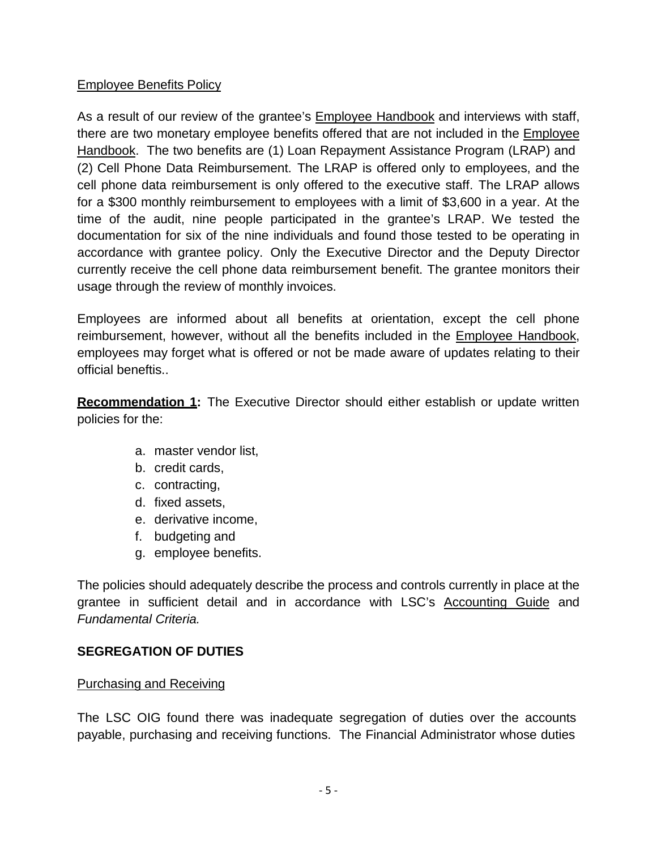#### Employee Benefits Policy

As a result of our review of the grantee's **Employee Handbook** and interviews with staff, there are two monetary employee benefits offered that are not included in the Employee Handbook. The two benefits are (1) Loan Repayment Assistance Program (LRAP) and (2) Cell Phone Data Reimbursement. The LRAP is offered only to employees, and the cell phone data reimbursement is only offered to the executive staff. The LRAP allows for a \$300 monthly reimbursement to employees with a limit of \$3,600 in a year. At the time of the audit, nine people participated in the grantee's LRAP. We tested the documentation for six of the nine individuals and found those tested to be operating in accordance with grantee policy. Only the Executive Director and the Deputy Director currently receive the cell phone data reimbursement benefit. The grantee monitors their usage through the review of monthly invoices.

Employees are informed about all benefits at orientation, except the cell phone reimbursement, however, without all the benefits included in the Employee Handbook, employees may forget what is offered or not be made aware of updates relating to their official beneftis..

**Recommendation 1:** The Executive Director should either establish or update written policies for the:

- a. master vendor list,
- b. credit cards,
- c. contracting,
- d. fixed assets,
- e. derivative income,
- f. budgeting and
- g. employee benefits.

The policies should adequately describe the process and controls currently in place at the grantee in sufficient detail and in accordance with LSC's Accounting Guide and *Fundamental Criteria.*

#### <span id="page-8-0"></span>**SEGREGATION OF DUTIES**

#### Purchasing and Receiving

The LSC OIG found there was inadequate segregation of duties over the accounts payable, purchasing and receiving functions. The Financial Administrator whose duties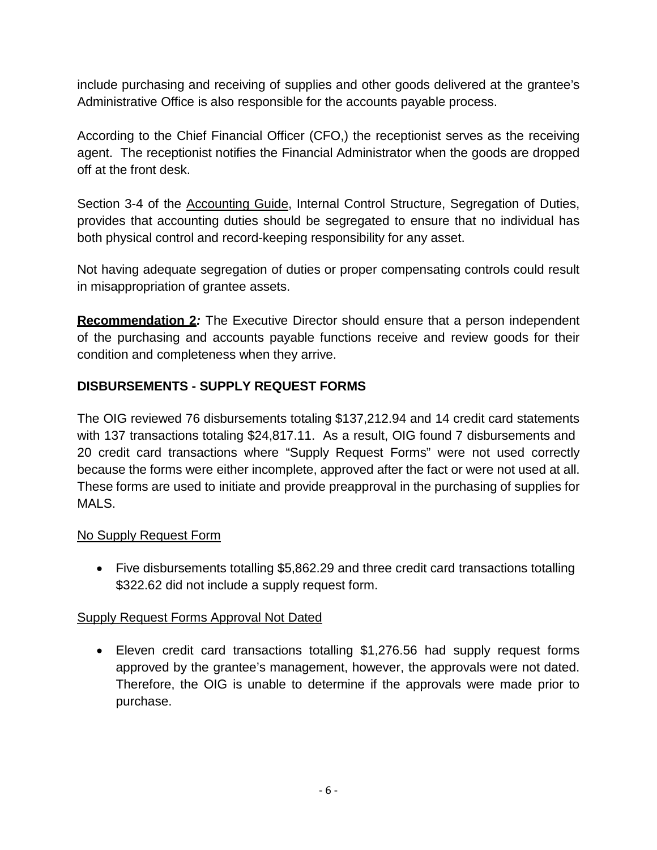include purchasing and receiving of supplies and other goods delivered at the grantee's Administrative Office is also responsible for the accounts payable process.

According to the Chief Financial Officer (CFO,) the receptionist serves as the receiving agent. The receptionist notifies the Financial Administrator when the goods are dropped off at the front desk.

Section 3-4 of the Accounting Guide, Internal Control Structure, Segregation of Duties, provides that accounting duties should be segregated to ensure that no individual has both physical control and record-keeping responsibility for any asset.

Not having adequate segregation of duties or proper compensating controls could result in misappropriation of grantee assets.

**Recommendation 2***:* The Executive Director should ensure that a person independent of the purchasing and accounts payable functions receive and review goods for their condition and completeness when they arrive.

#### **DISBURSEMENTS - SUPPLY REQUEST FORMS**

The OIG reviewed 76 disbursements totaling \$137,212.94 and 14 credit card statements with 137 transactions totaling \$24,817.11. As a result, OIG found 7 disbursements and 20 credit card transactions where "Supply Request Forms" were not used correctly because the forms were either incomplete, approved after the fact or were not used at all. These forms are used to initiate and provide preapproval in the purchasing of supplies for MALS.

#### No Supply Request Form

• Five disbursements totalling \$5,862.29 and three credit card transactions totalling \$322.62 did not include a supply request form.

#### Supply Request Forms Approval Not Dated

• Eleven credit card transactions totalling \$1,276.56 had supply request forms approved by the grantee's management, however, the approvals were not dated. Therefore, the OIG is unable to determine if the approvals were made prior to purchase.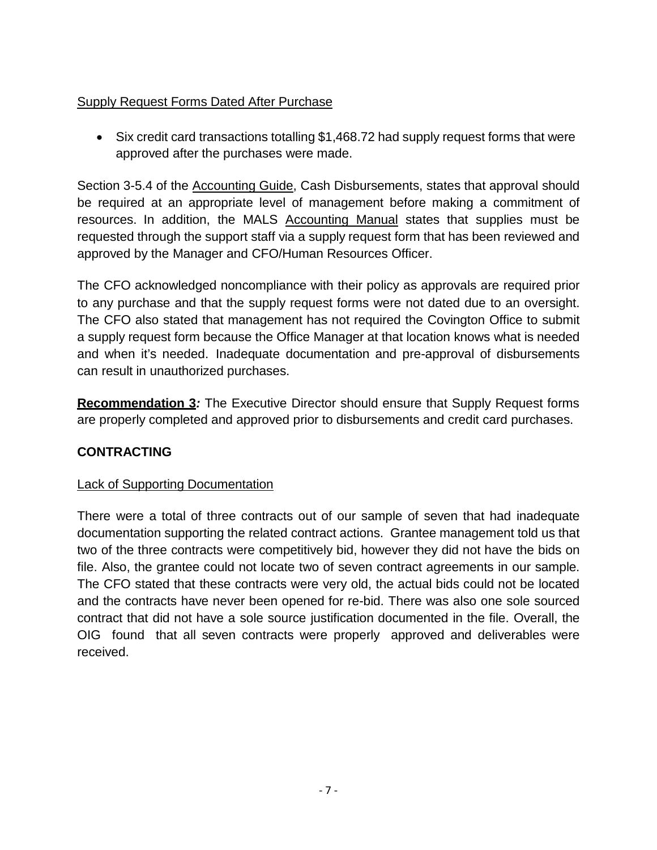#### Supply Request Forms Dated After Purchase

• Six credit card transactions totalling \$1,468.72 had supply request forms that were approved after the purchases were made.

Section 3-5.4 of the Accounting Guide, Cash Disbursements, states that approval should be required at an appropriate level of management before making a commitment of resources. In addition, the MALS Accounting Manual states that supplies must be requested through the support staff via a supply request form that has been reviewed and approved by the Manager and CFO/Human Resources Officer.

The CFO acknowledged noncompliance with their policy as approvals are required prior to any purchase and that the supply request forms were not dated due to an oversight. The CFO also stated that management has not required the Covington Office to submit a supply request form because the Office Manager at that location knows what is needed and when it's needed. Inadequate documentation and pre-approval of disbursements can result in unauthorized purchases.

**Recommendation 3***:* The Executive Director should ensure that Supply Request forms are properly completed and approved prior to disbursements and credit card purchases.

#### <span id="page-10-0"></span>**CONTRACTING**

#### Lack of Supporting Documentation

There were a total of three contracts out of our sample of seven that had inadequate documentation supporting the related contract actions. Grantee management told us that two of the three contracts were competitively bid, however they did not have the bids on file. Also, the grantee could not locate two of seven contract agreements in our sample. The CFO stated that these contracts were very old, the actual bids could not be located and the contracts have never been opened for re-bid. There was also one sole sourced contract that did not have a sole source justification documented in the file. Overall, the OIG found that all seven contracts were properly approved and deliverables were received.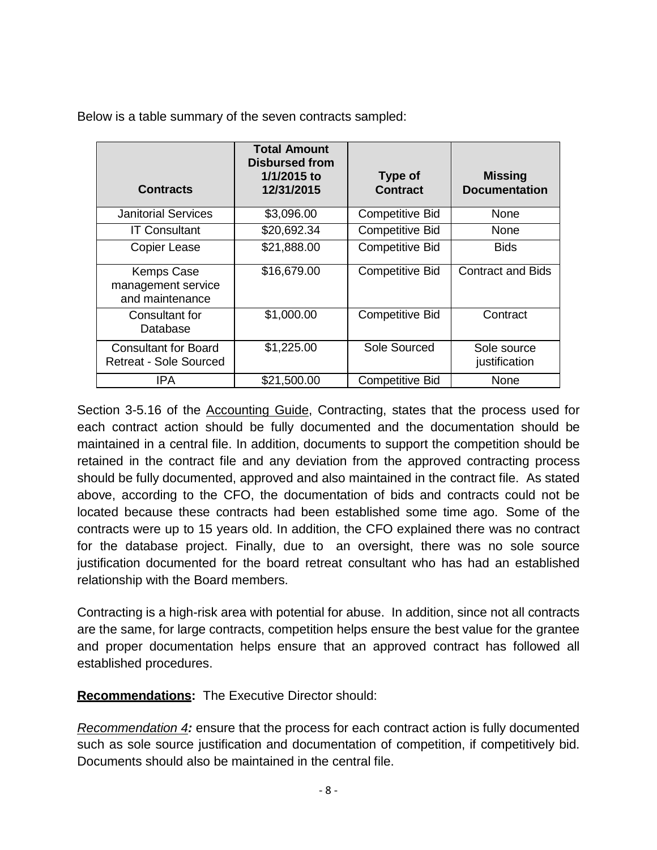| <b>Contracts</b>                                             | <b>Total Amount</b><br><b>Disbursed from</b><br>1/1/2015 to<br>12/31/2015 | <b>Type of</b><br><b>Contract</b> | <b>Missing</b><br><b>Documentation</b> |
|--------------------------------------------------------------|---------------------------------------------------------------------------|-----------------------------------|----------------------------------------|
| <b>Janitorial Services</b>                                   | \$3,096.00                                                                | <b>Competitive Bid</b>            | None                                   |
| <b>IT Consultant</b>                                         | \$20,692.34                                                               | <b>Competitive Bid</b>            | None                                   |
| Copier Lease                                                 | \$21,888.00                                                               | <b>Competitive Bid</b>            | <b>Bids</b>                            |
| <b>Kemps Case</b><br>management service<br>and maintenance   | \$16,679.00                                                               | <b>Competitive Bid</b>            | <b>Contract and Bids</b>               |
| Consultant for<br>Database                                   | \$1,000.00                                                                | <b>Competitive Bid</b>            | Contract                               |
| <b>Consultant for Board</b><br><b>Retreat - Sole Sourced</b> | \$1,225.00                                                                | Sole Sourced                      | Sole source<br>justification           |
| IPA                                                          | \$21,500.00                                                               | <b>Competitive Bid</b>            | None                                   |

Section 3-5.16 of the Accounting Guide, Contracting, states that the process used for each contract action should be fully documented and the documentation should be maintained in a central file. In addition, documents to support the competition should be retained in the contract file and any deviation from the approved contracting process should be fully documented, approved and also maintained in the contract file. As stated above, according to the CFO, the documentation of bids and contracts could not be located because these contracts had been established some time ago. Some of the contracts were up to 15 years old. In addition, the CFO explained there was no contract for the database project. Finally, due to an oversight, there was no sole source justification documented for the board retreat consultant who has had an established relationship with the Board members.

Contracting is a high-risk area with potential for abuse. In addition, since not all contracts are the same, for large contracts, competition helps ensure the best value for the grantee and proper documentation helps ensure that an approved contract has followed all established procedures.

**Recommendations:** The Executive Director should:

*Recommendation 4:* ensure that the process for each contract action is fully documented such as sole source justification and documentation of competition, if competitively bid. Documents should also be maintained in the central file.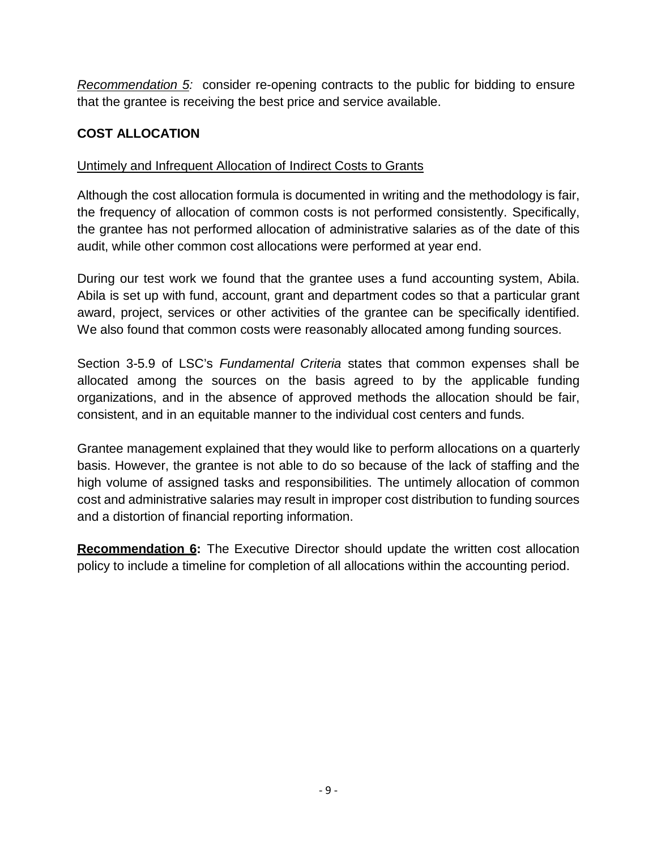*Recommendation 5:* consider re-opening contracts to the public for bidding to ensure that the grantee is receiving the best price and service available.

#### <span id="page-12-0"></span>**COST ALLOCATION**

#### Untimely and Infrequent Allocation of Indirect Costs to Grants

Although the cost allocation formula is documented in writing and the methodology is fair, the frequency of allocation of common costs is not performed consistently. Specifically, the grantee has not performed allocation of administrative salaries as of the date of this audit, while other common cost allocations were performed at year end.

During our test work we found that the grantee uses a fund accounting system, Abila. Abila is set up with fund, account, grant and department codes so that a particular grant award, project, services or other activities of the grantee can be specifically identified. We also found that common costs were reasonably allocated among funding sources.

Section 3-5.9 of LSC's *Fundamental Criteria* states that common expenses shall be allocated among the sources on the basis agreed to by the applicable funding organizations, and in the absence of approved methods the allocation should be fair, consistent, and in an equitable manner to the individual cost centers and funds.

Grantee management explained that they would like to perform allocations on a quarterly basis. However, the grantee is not able to do so because of the lack of staffing and the high volume of assigned tasks and responsibilities. The untimely allocation of common cost and administrative salaries may result in improper cost distribution to funding sources and a distortion of financial reporting information.

**Recommendation 6:** The Executive Director should update the written cost allocation policy to include a timeline for completion of all allocations within the accounting period.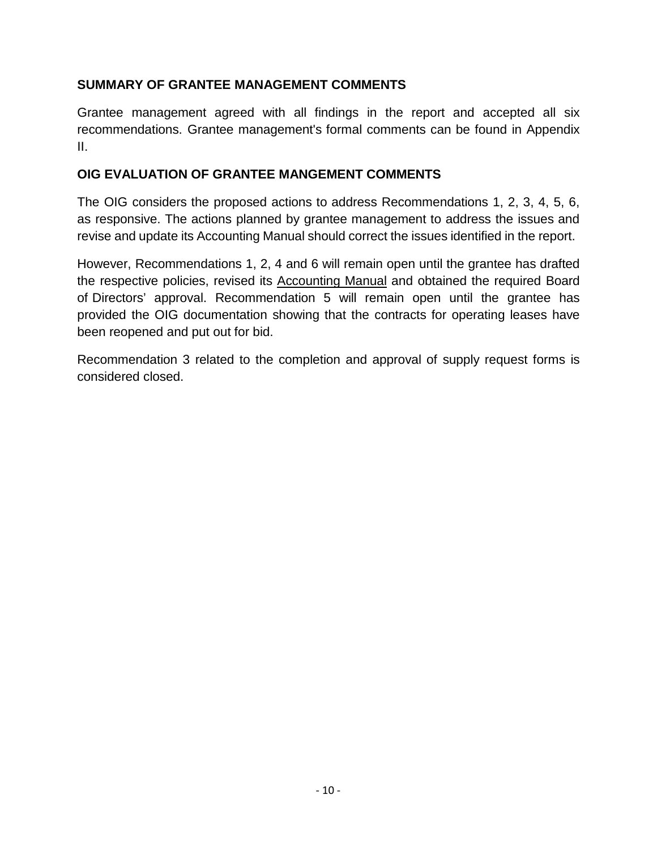#### <span id="page-13-0"></span>**SUMMARY OF GRANTEE MANAGEMENT COMMENTS**

Grantee management agreed with all findings in the report and accepted all six recommendations. Grantee management's formal comments can be found in Appendix II.

#### **OIG EVALUATION OF GRANTEE MANGEMENT COMMENTS**

The OIG considers the proposed actions to address Recommendations 1, 2, 3, 4, 5, 6, as responsive. The actions planned by grantee management to address the issues and revise and update its Accounting Manual should correct the issues identified in the report.

However, Recommendations 1, 2, 4 and 6 will remain open until the grantee has drafted the respective policies, revised its Accounting Manual and obtained the required Board of Directors' approval. Recommendation 5 will remain open until the grantee has provided the OIG documentation showing that the contracts for operating leases have been reopened and put out for bid.

Recommendation 3 related to the completion and approval of supply request forms is considered closed.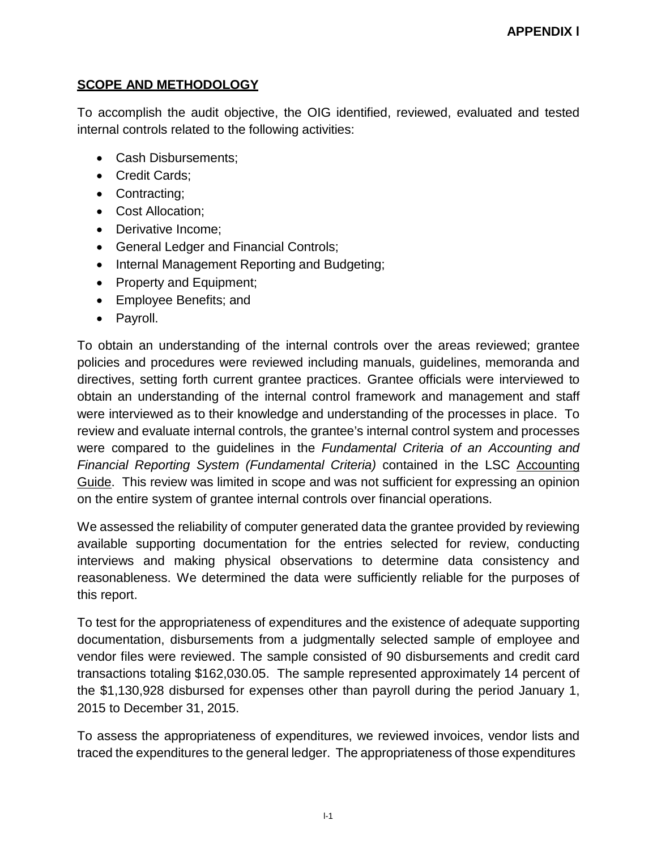#### **SCOPE AND METHODOLOGY**

To accomplish the audit objective, the OIG identified, reviewed, evaluated and tested internal controls related to the following activities:

- Cash Disbursements;
- Credit Cards;
- Contracting;
- Cost Allocation;
- Derivative Income;
- General Ledger and Financial Controls;
- Internal Management Reporting and Budgeting;
- Property and Equipment;
- Employee Benefits; and
- Payroll.

To obtain an understanding of the internal controls over the areas reviewed; grantee policies and procedures were reviewed including manuals, guidelines, memoranda and directives, setting forth current grantee practices. Grantee officials were interviewed to obtain an understanding of the internal control framework and management and staff were interviewed as to their knowledge and understanding of the processes in place. To review and evaluate internal controls, the grantee's internal control system and processes were compared to the guidelines in the *Fundamental Criteria of an Accounting and Financial Reporting System (Fundamental Criteria)* contained in the LSC Accounting Guide. This review was limited in scope and was not sufficient for expressing an opinion on the entire system of grantee internal controls over financial operations.

We assessed the reliability of computer generated data the grantee provided by reviewing available supporting documentation for the entries selected for review, conducting interviews and making physical observations to determine data consistency and reasonableness. We determined the data were sufficiently reliable for the purposes of this report.

To test for the appropriateness of expenditures and the existence of adequate supporting documentation, disbursements from a judgmentally selected sample of employee and vendor files were reviewed. The sample consisted of 90 disbursements and credit card transactions totaling \$162,030.05. The sample represented approximately 14 percent of the \$1,130,928 disbursed for expenses other than payroll during the period January 1, 2015 to December 31, 2015.

To assess the appropriateness of expenditures, we reviewed invoices, vendor lists and traced the expenditures to the general ledger. The appropriateness of those expenditures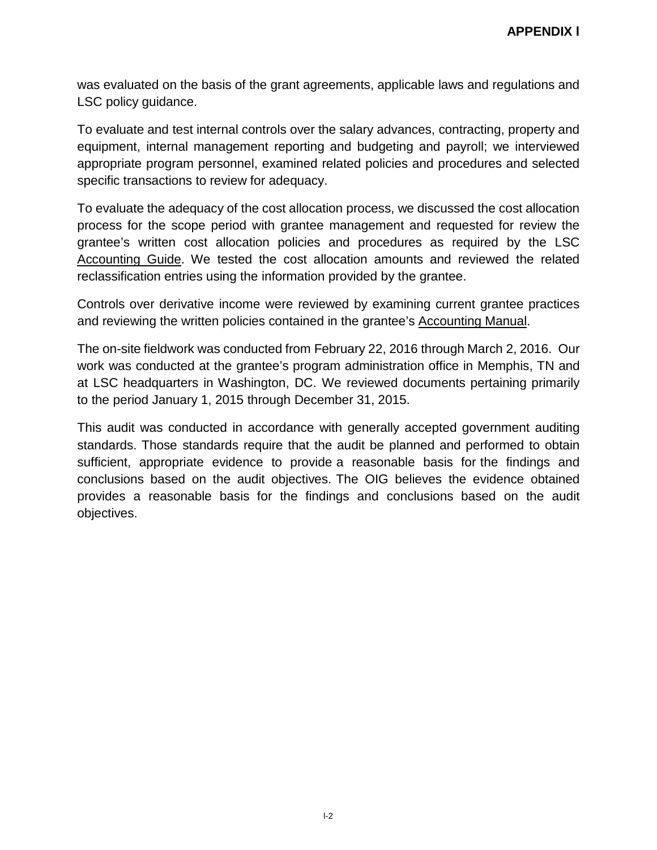was evaluated on the basis of the grant agreements, applicable laws and regulations and LSC policy guidance.

To evaluate and test internal controls over the salary advances, contracting, property and equipment, internal management reporting and budgeting and payroll; we interviewed appropriate program personnel, examined related policies and procedures and selected specific transactions to review for adequacy.

To evaluate the adequacy of the cost allocation process, we discussed the cost allocation process for the scope period with grantee management and requested for review the grantee's written cost allocation policies and procedures as required by the LSC Accounting Guide. We tested the cost allocation amounts and reviewed the related reclassification entries using the information provided by the grantee.

Controls over derivative income were reviewed by examining current grantee practices and reviewing the written policies contained in the grantee's Accounting Manual.

The on-site fieldwork was conducted from February 22, 2016 through March 2, 2016. Our work was conducted at the grantee's program administration office in Memphis, TN and at LSC headquarters in Washington, DC. We reviewed documents pertaining primarily to the period January 1, 2015 through December 31, 2015.

This audit was conducted in accordance with generally accepted government auditing standards. Those standards require that the audit be planned and performed to obtain sufficient, appropriate evidence to provide a reasonable basis for the findings and conclusions based on the audit objectives. The OIG believes the evidence obtained provides a reasonable basis for the findings and conclusions based on the audit objectives.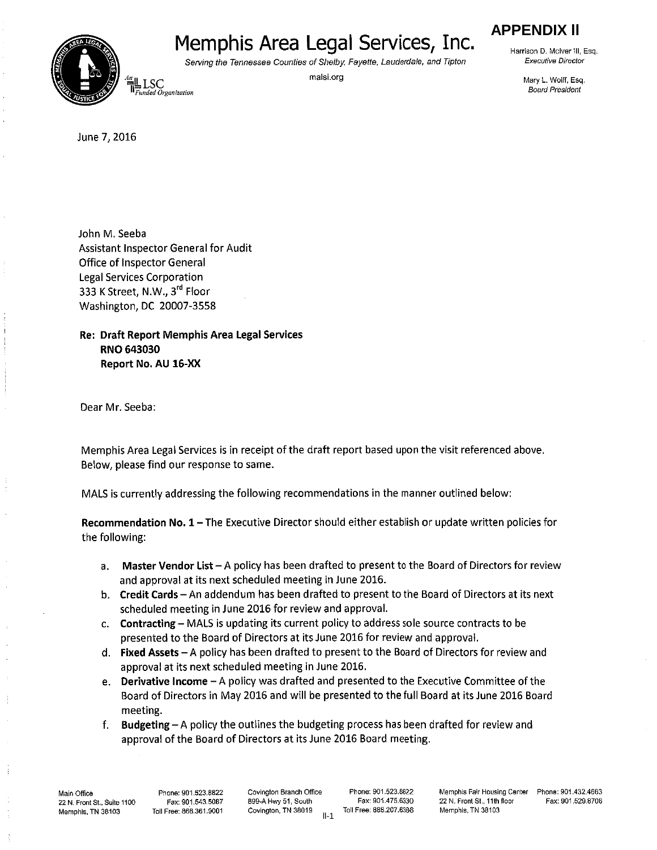.LSC nded Organization

## Memphis Area Legal Services, Inc.

Serving the Tennessee Counties of Shelby, Fayette, Lauderdale, and Tipton

malsi org

**APPENDIX II** 

Harrison D. Molver III, Esq. Executive Director

> Mary L. Wolff, Esq. **Board President**

June 7, 2016

John M. Seeba **Assistant Inspector General for Audit Office of Inspector General Legal Services Corporation** 333 K Street, N.W., 3rd Floor Washington, DC 20007-3558

Re: Draft Report Memphis Area Legal Services RNO 643030 Report No. AU 16-XX

Dear Mr. Seeba:

Memphis Area Legal Services is in receipt of the draft report based upon the visit referenced above. Below, please find our response to same.

MALS is currently addressing the following recommendations in the manner outlined below:

Recommendation No. 1 - The Executive Director should either establish or update written policies for the following:

- Master Vendor List A policy has been drafted to present to the Board of Directors for review a. and approval at its next scheduled meeting in June 2016.
- b. Credit Cards An addendum has been drafted to present to the Board of Directors at its next scheduled meeting in June 2016 for review and approval.
- **Contracting MALS** is updating its current policy to address sole source contracts to be  $c_{\cdot}$ presented to the Board of Directors at its June 2016 for review and approval.
- d. Fixed Assets A policy has been drafted to present to the Board of Directors for review and approval at its next scheduled meeting in June 2016.
- **Derivative Income** A policy was drafted and presented to the Executive Committee of the  $e_{-}$ Board of Directors in May 2016 and will be presented to the full Board at its June 2016 Board meeting.
- $f_{\rm{r}}$ **Budgeting – A policy the outlines the budgeting process has been drafted for review and** approval of the Board of Directors at its June 2016 Board meeting.

Main Office 22 N. Front St., Suite 1100 Memphis, TN 38103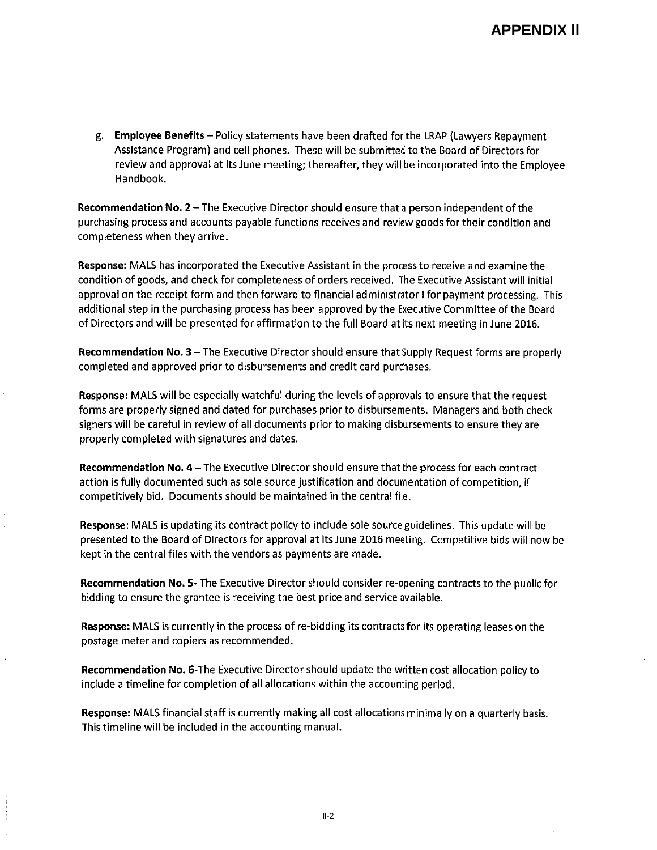g. Employee Benefits - Policy statements have been drafted for the LRAP (Lawyers Repayment Assistance Program) and cell phones. These will be submitted to the Board of Directors for review and approval at its June meeting; thereafter, they will be incorporated into the Employee Handbook.

Recommendation No. 2 - The Executive Director should ensure that a person independent of the purchasing process and accounts payable functions receives and review goods for their condition and completeness when they arrive.

Response: MALS has incorporated the Executive Assistant in the process to receive and examine the condition of goods, and check for completeness of orders received. The Executive Assistant will initial approval on the receipt form and then forward to financial administrator I for payment processing. This additional step in the purchasing process has been approved by the Executive Committee of the Board of Directors and will be presented for affirmation to the full Board at its next meeting in June 2016.

Recommendation No. 3 - The Executive Director should ensure that Supply Request forms are properly completed and approved prior to disbursements and credit card purchases.

Response: MALS will be especially watchful during the levels of approvals to ensure that the request forms are properly signed and dated for purchases prior to disbursements. Managers and both check signers will be careful in review of all documents prior to making disbursements to ensure they are properly completed with signatures and dates.

Recommendation No. 4 - The Executive Director should ensure that the process for each contract action is fully documented such as sole source justification and documentation of competition, if competitively bid. Documents should be maintained in the central file.

Response: MALS is updating its contract policy to include sole source guidelines. This update will be presented to the Board of Directors for approval at its June 2016 meeting. Competitive bids will now be kept in the central files with the vendors as payments are made.

Recommendation No. 5- The Executive Director should consider re-opening contracts to the public for bidding to ensure the grantee is receiving the best price and service available.

**Response:** MALS is currently in the process of re-bidding its contracts for its operating leases on the postage meter and copiers as recommended.

Recommendation No. 6-The Executive Director should update the written cost allocation policy to include a timeline for completion of all allocations within the accounting period.

Response: MALS financial staff is currently making all cost allocations minimally on a quarterly basis. This timeline will be included in the accounting manual.